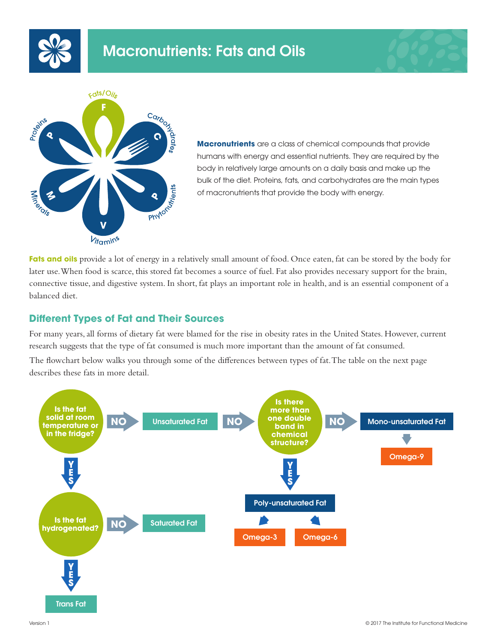





**Macronutrients** are a class of chemical compounds that provide humans with energy and essential nutrients. They are required by the body in relatively large amounts on a daily basis and make up the bulk of the diet. Proteins, fats, and carbohydrates are the main types of macronutrients that provide the body with energy.

**Fats and oils** provide a lot of energy in a relatively small amount of food. Once eaten, fat can be stored by the body for later use. When food is scarce, this stored fat becomes a source of fuel. Fat also provides necessary support for the brain, connective tissue, and digestive system. In short, fat plays an important role in health, and is an essential component of a balanced diet.

## **Different Types of Fat and Their Sources**

For many years, all forms of dietary fat were blamed for the rise in obesity rates in the United States. However, current research suggests that the type of fat consumed is much more important than the amount of fat consumed. The flowchart below walks you through some of the differences between types of fat. The table on the next page describes these fats in more detail.

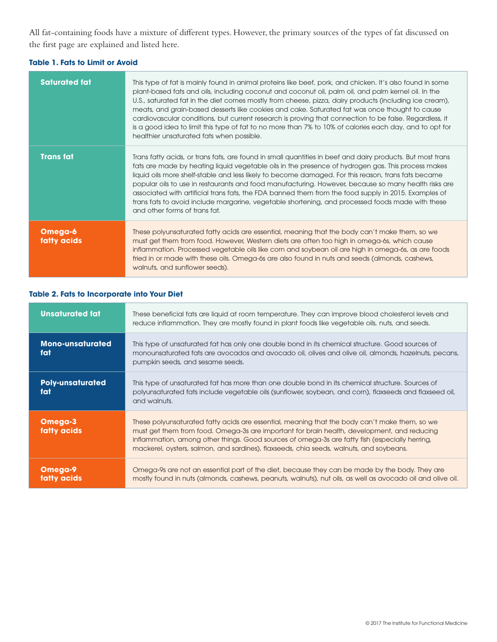All fat-containing foods have a mixture of different types. However, the primary sources of the types of fat discussed on the first page are explained and listed here.

#### **Table 1. Fats to Limit or Avoid**

| <b>Saturated fat</b>   | This type of fat is mainly found in animal proteins like beef, pork, and chicken. It's also found in some<br>plant-based fats and oils, including coconut and coconut oil, palm oil, and palm kernel oil. In the<br>U.S., saturated fat in the diet comes mostly from cheese, pizza, dairy products (including ice cream),<br>meats, and grain-based desserts like cookies and cake. Saturated fat was once thought to cause<br>cardiovascular conditions, but current research is proving that connection to be false. Regardless, it<br>is a good idea to limit this type of fat to no more than 7% to 10% of calories each day, and to opt for<br>healthier unsaturated fats when possible. |
|------------------------|------------------------------------------------------------------------------------------------------------------------------------------------------------------------------------------------------------------------------------------------------------------------------------------------------------------------------------------------------------------------------------------------------------------------------------------------------------------------------------------------------------------------------------------------------------------------------------------------------------------------------------------------------------------------------------------------|
| <b>Trans fat</b>       | Trans fatty acids, or trans fats, are found in small quantities in beef and dairy products. But most trans<br>fats are made by heating liquid vegetable oils in the presence of hydrogen gas. This process makes<br>liquid oils more shelf-stable and less likely to become damaged. For this reason, trans fats became<br>popular oils to use in restaurants and food manufacturing. However, because so many health risks are<br>associated with artificial trans fats, the FDA banned them from the food supply in 2015. Examples of<br>trans fats to avoid include margarine, vegetable shortening, and processed foods made with these<br>and other forms of trans fat.                   |
| Omega-6<br>fatty acids | These polyunsaturated fatty acids are essential, meaning that the body can't make them, so we<br>must get them from food. However, Western diets are often too high in omega-6s, which cause<br>inflammation. Processed vegetable oils like corn and soybean oil are high in omega-6s, as are foods<br>fried in or made with these oils. Omega-6s are also found in nuts and seeds (almonds, cashews,<br>walnuts, and sunflower seeds).                                                                                                                                                                                                                                                        |

### **Table 2. Fats to Incorporate into Your Diet**

| <b>Unsaturated fat</b>         | These beneficial fats are liquid at room temperature. They can improve blood cholesterol levels and<br>reduce inflammation. They are mostly found in plant foods like vegetable oils, nuts, and seeds.                                                                                                                                                                                    |
|--------------------------------|-------------------------------------------------------------------------------------------------------------------------------------------------------------------------------------------------------------------------------------------------------------------------------------------------------------------------------------------------------------------------------------------|
| <b>Mono-unsaturated</b><br>fat | This type of unsaturated fat has only one double bond in its chemical structure. Good sources of<br>monounsaturated fats are avocados and avocado oil, olives and olive oil, almonds, hazelnuts, pecans,<br>pumpkin seeds, and sesame seeds.                                                                                                                                              |
| <b>Poly-unsaturated</b><br>fat | This type of unsaturated fat has more than one double bond in its chemical structure. Sources of<br>polyunsaturated fats include vegetable oils (sunflower, soybean, and corn), flaxseeds and flaxseed oil,<br>and walnuts.                                                                                                                                                               |
| Omega-3<br>fatty acids         | These polyunsaturated fatty acids are essential, meaning that the body can't make them, so we<br>must get them from food. Omega-3s are important for brain health, development, and reducing<br>inflammation, among other things. Good sources of omega-3s are fatty fish (especially herring,<br>mackerel, oysters, salmon, and sardines), flaxseeds, chia seeds, walnuts, and soybeans. |
| Omega-9<br>fatty acids         | Omega-9s are not an essential part of the diet, because they can be made by the body. They are<br>mostly found in nuts (almonds, cashews, peanuts, walnuts), nut oils, as well as avocado oil and olive oil.                                                                                                                                                                              |